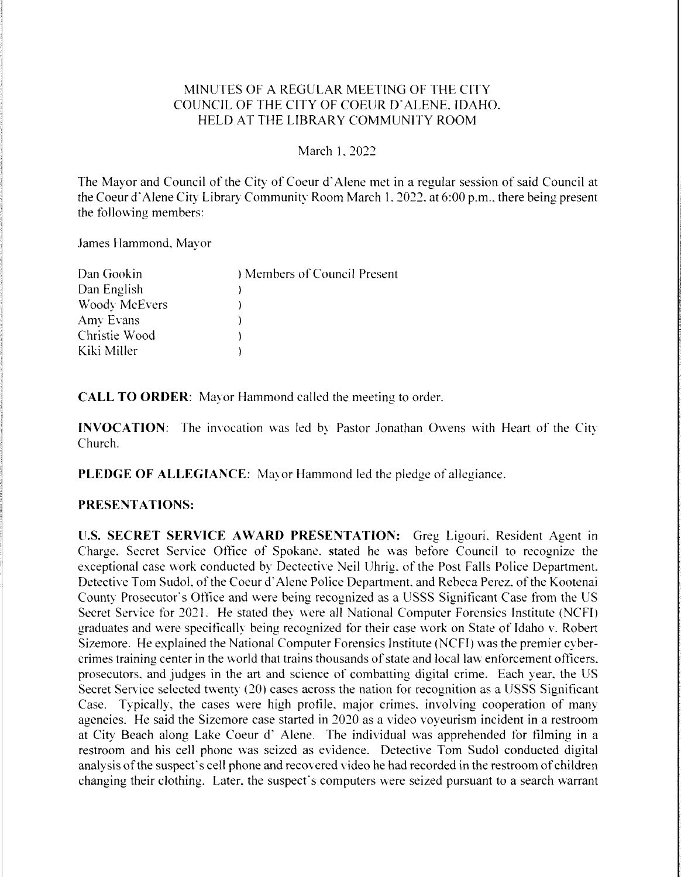## MINUTES OF A REGULAR MEETING OFTHE CITY COUNCIL OF THE CITY OF COEUR D'ALENE. IDAHO. HELD AT THE LIBRARY COMMUNITY ROOM

March 1.2022

The Mayor and Council of the City of Coeur d'Alene met in a regular session of said Council at the Coeur d'Alene City Library Community Room March 1, 2022, at 6:00 p.m., there being present the following members:

James Hammond, Mayor

| Dan Gookin           | ) Members of Council Present |
|----------------------|------------------------------|
| Dan English          |                              |
| <b>Woody McEvers</b> |                              |
| Amy Evans            |                              |
| Christie Wood        |                              |
| Kiki Miller          |                              |

CALL TO ORDER: Mavor Hammond called the meeting to order.

INVOCATION: The invocation was led by Pastor Jonathan Owens with Heart of the City Church.

PLEDGE OF ALLEGIANCE: Mayor Hammond led the pledge of allegiance.

#### PRESENTATIONS:

U.S. SECRET SERVICE AWARD PRESENTATION: Greg Ligouri. Resident Agent in Charge. Secret Service Office of Spokane. stated he was before Council to recognize the exceptional case work conducted by Dectective Neil Uhrig. of the Post Falls Police Department. Detective Tom Sudol, of the Coeur d'Alene Police Department. and Rebeca Perez. of the Kootenai County Prosecutor's Office and were being recognized as a USSS Significant Case from the US Secret Service for 2021. He stated they were all National Computer Forensics Institute (NCFI) graduates and were specifically being recognized for their case work on State of Idaho v. Robert Sizemore. He explained the National Computer Forensics Institute (NCFI) was the premier cybercrimes training center in the world that trains thousands of state and local law enforcement officers. prosecutors, and judges in the art and science of combatting digital crime. Each year, the US Secret Service selected twenty  $(20)$  cases across the nation for recognition as a USSS Significant Case. Typically, the cases were high profile. major crimes, involving cooperation of many agencies. He said the Sizemore case started in 2020 as a video voyeurism incident in a restroom at City Beach along Lake Coeur d' Alene. The individual was apprehended for filming in a restroom and his cell phone was seized as evidence. Detective Tom Sudol conducted digital analysis of the suspect's cell phone and recovered video he had recorded in the restroom of children changing their clothing. Later, the suspect's computers were seized pursuant to a search warrant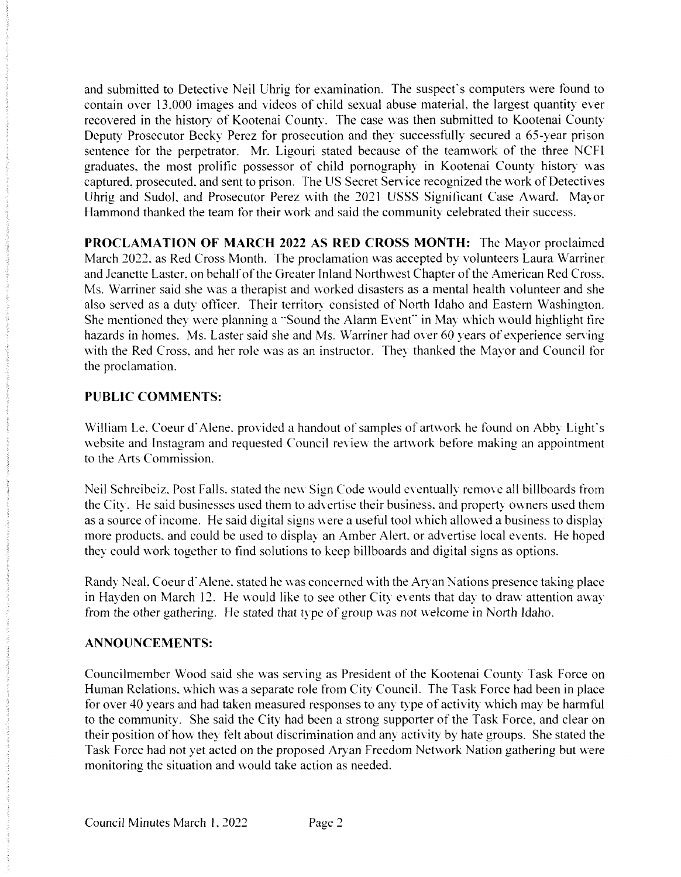and submitted to Detective Neil Uhrig for examination. The suspect's computers were found to contain over 13,000 images and videos of child sexual abuse material, the largest quantity ever recovered in the history of Kootenai County. The case was then submitted to Kootenai County Deputy Prosecutor Becky Perez for prosecution and they successfully secured a 65-year prison sentence for the perpetrator. Mr. Ligouri stated because of the teamwork of the three NCFI graduates, the most prolific possessor of child pornography in Kootenai County history was captured, prosecuted, and sent to prison. The US Secret Service recognized the work of Detectives Uhrig and Sudol, and Prosecutor Perez with the 2021 USSS Significant Case Award. Mayor Hammond thanked the team for their work and said the community celebrated their success.

PROCLAMATION OF MARCH 2022AS RED CROSS MONTH: The Mayor proclaimed March 2022, as Red Cross Month. The proclamation was accepted by volunteers Laura Warriner and Jeanette Laster, on behalf of the Greater Inland Northwest Chapter of the American Red Cross. Ms. Warriner said she was a therapist and worked disasters as a mental health volunteer and she also served as a duty officer. Their territory consisted of North Idaho and Eastern Washington. She mentioned they were planning a "Sound the Alarm Event" in May which would highlight fire hazards in homes. Ms. Laster said she and Ms. Warriner had over 60 years of experience serving with the Red Cross, and her role was as an instructor. They thanked the Mayor and Council for the proclamation.

# PUBLIC COMMENTS:

William Le, Coeur d'Alene. provided a handout of samples of artwork he found on Abby Light's website and Instagram and requested Council review the artwork before making an appointment to the Arts Commission.

Neil Schreibeiz. Post Falls, stated the new Sign Code would eventually remove all billboards from the City. He said businesses used them to advertise their business, and property owners used them as a source of income. He said digital signs were a useful tool which allowed a business to display more products, and could be used to display an Amber Alert, or advertise local events. He hoped they could work together to find solutions to keep billboards and digital signs as options.

Randy Neal. Coeur d'Alene, stated he was concerned with the Aryan Nations presence taking place in Hayden on March 12. He would like to see other City events that day to draw attention away from the other gathering. He stated that type of group was not welcome in North Idaho.

# ANNOUNCEMENTS:

Councilmember Wood said she was serving as President of the Kootenai County Task Force on Human Relations, which was a separate role from City Council. The Task Force had been in place for over 40 years and had taken measured responses to any type of activity which may be harmful to the community. She said the City had been a strong supporter of the Task Force, and clear on their position of how they felt about discrimination and any activity by hate groups. She stated the Task Force had not yet acted on the proposed Aryan Freedom Network Nation gathering but were monitoring the situation and would take action as needed.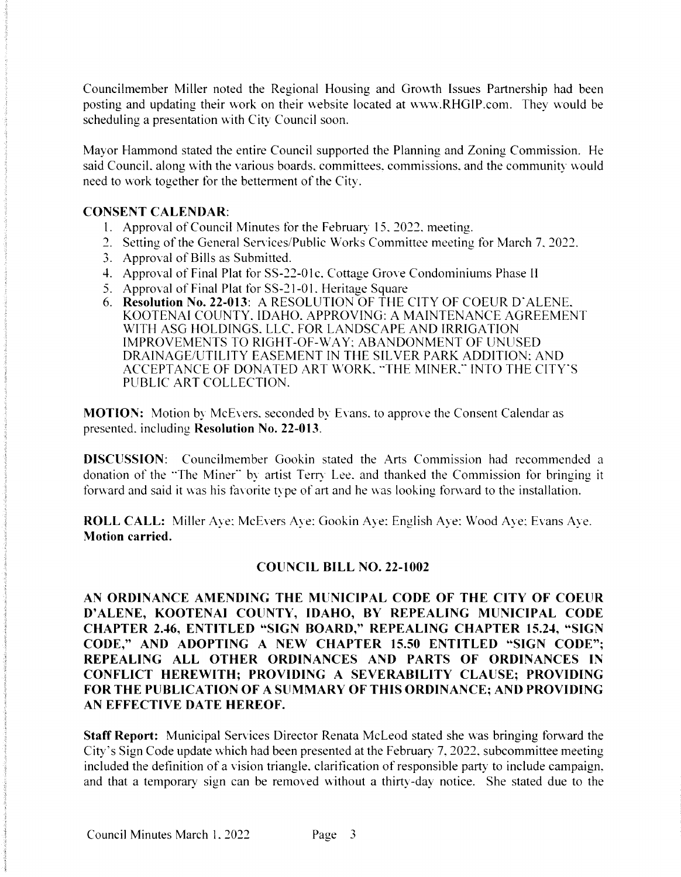Councilmember Miller noted the Regional Housing and Growth Issues Partnership had been posting and updating their work on their website located at www.RHGIP.com. They would be scheduling a presentation with City Council soon.

Mayor Hammond stated the entire Council supported the Planning and Zoning Commission. He said Council, along with the various boards, committees, commissions, and the community would need to work together for the betterment of the City.

#### **CONSENT CALENDAR:**

- 1. Approval of Council Minutes for the February 15, 2022, meeting.
- 2. Setting of the General Services/Public Works Committee meeting for March 7, 2022.
- 3. Approval of Bills as Submitted.
- 4. Approval of Final Plat for SS-22-01c, Cottage Grove Condominiums Phase II
- 5. Approval of Final Plat for SS-21-01, Heritage Square
- 6. Resolution No. 22-013: A RESOLUTION OF THE CITY OF COEUR D'ALENE. KOOTENAI COUNTY, IDAHO, APPROVING: A MAINTENANCE AGREEMENT WITH ASG HOLDINGS. LLC. FOR LANDSCAPE AND IRRIGATION **IMPROVEMENTS TO RIGHT-OF-WAY: ABANDONMENT OF UNUSED** DRAINAGE/UTILITY EASEMENT IN THE SILVER PARK ADDITION: AND ACCEPTANCE OF DONATED ART WORK. "THE MINER." INTO THE CITY'S PUBLIC ART COLLECTION.

**MOTION:** Motion by McEvers, seconded by Evans, to approve the Consent Calendar as presented, including Resolution No. 22-013.

DISCUSSION: Councilmember Gookin stated the Arts Commission had recommended a donation of the "The Miner" by artist Terry Lee, and thanked the Commission for bringing it forward and said it was his favorite type of art and he was looking forward to the installation.

**ROLL CALL:** Miller Ave: McEvers Ave: Gookin Aye: English Aye: Wood Ave: Evans Ave. **Motion carried.** 

## **COUNCIL BILL NO. 22-1002**

AN ORDINANCE AMENDING THE MUNICIPAL CODE OF THE CITY OF COEUR D'ALENE, KOOTENAI COUNTY, IDAHO, BY REPEALING MUNICIPAL CODE **CHAPTER 2.46, ENTITLED "SIGN BOARD," REPEALING CHAPTER 15.24, "SIGN** CODE," AND ADOPTING A NEW CHAPTER 15.50 ENTITLED "SIGN CODE": REPEALING ALL OTHER ORDINANCES AND PARTS OF ORDINANCES IN CONFLICT HEREWITH; PROVIDING A SEVERABILITY CLAUSE; PROVIDING FOR THE PUBLICATION OF A SUMMARY OF THIS ORDINANCE; AND PROVIDING AN EFFECTIVE DATE HEREOF.

**Staff Report:** Municipal Services Director Renata McLeod stated she was bringing forward the City's Sign Code update which had been presented at the February 7, 2022, subcommittee meeting included the definition of a vision triangle, clarification of responsible party to include campaign, and that a temporary sign can be removed without a thirty-day notice. She stated due to the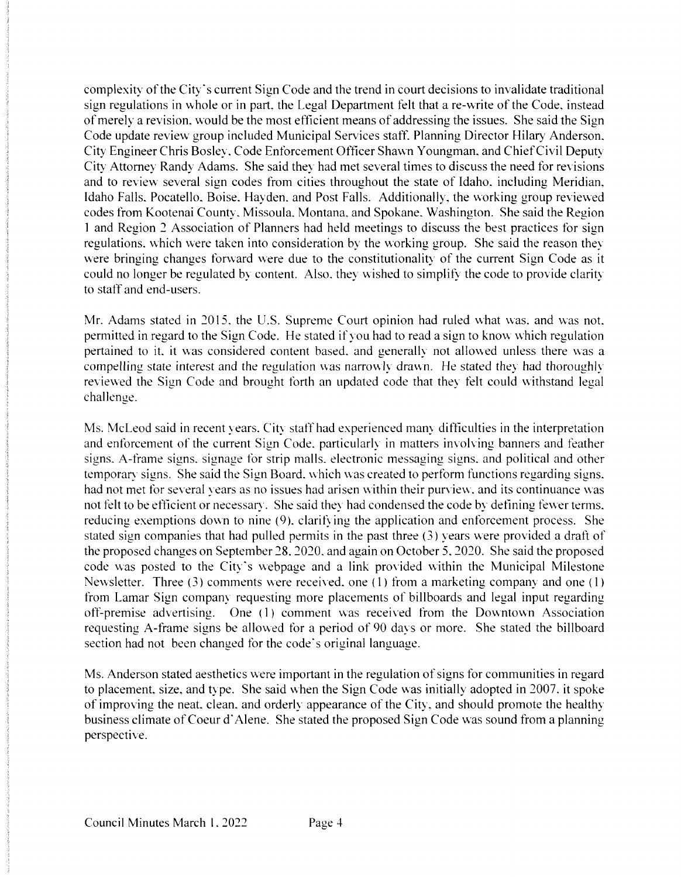complexity of the City's current Sign Code and the trend in court decisions to invalidate traditional sign regulations in whole or in part, the Legal Department felt that a re-write of the Code, instead of merely a revision, would be the most efficient means of addressing the issues. She said the Sign Code update review group included Municipal Services staff. Planning Director Hilary Anderson. City Engineer Chris Bosley. Code Enforcement Officer Shawn Youngman, and Chief Civil Deputy City Attorney Randy Adams. She said they had met several times to discuss the need for revisions and to review several sign codes from cities throughout the state of Idaho, including Meridian. Idaho Falls. Pocatello. Boise. Hayden, and Post Falls. Additionally, the working group reviewed codes from Kootenai County, Missoula. Montana. and Spokane. Washington. She said the Region 1 and Region 2 Association of Planners had held meetings to discuss the best practices for sign regulations. which were taken into consideration by the working group. She said the reason they were bringing changes forward were due to the constitutionality of the current Sign Code as it could no longer be regulated by content. Also, they wished to simplify the code to provide clarity to staff and end-users.

Mr. Adams stated in 2015, the U.S. Supreme Court opinion had ruled what was. and was not, permitted in regard to the Sign Code. He stated if you had to read a sign to know which regulation pertained to it. it was considered content based, and generally not allowed unless there was a compelling state interest and the regulation was narrowly drawn. He stated they had thoroughly reviewed the Sign Code and brought forth an updated code that they felt could withstand legal challenge.

Ms. McLeod said in recent years. City staff had experienced many difficulties in the interpretation and enforcement of the current Sign Code, particularly in matters involving banners and feather signs. A-frame signs, signage for strip malls, electronic messaging signs, and political and other temporary signs. She said the Sign Board, which was created to perform functions regarding signs. had not met for several vears as no issues had arisen within their purview, and its continuance was not felt to be efficient or necessary. She said they had condensed the code by defining fewer terms. reducing exemptions down to nine (9), clarifying the application and enforcement process. She stated sign companies that had pulled permits in the past three  $(3)$  years were provided a draft of the proposed changes on September 28, 2020, and again on October 5, 2020. She said the proposed code was posted to the City's webpage and a link provided within the Municipal Milestone Newsletter. Three (3) comments were received, one (1) from a marketing company and one (1) from Lamar Sign company requesting more placements of billboards and legal input regarding off-premise advertising. One (1) comment was received from the Downtown Association requesting A-frame signs be allowed for a period of 90 days or more. She stated the billboard section had not been changed for the code's original language.

Ms. Anderson stated aesthetics were important in the regulation of signs for communities in regard to placement, size, and type. She said when the Sign Code was initially adopted in 2007. it spoke of improving the neat, clean, and orderly appearance of the City, and should promote the healthy business climate of Coeur d'Alene. She stated the proposed Sign Code was sound from a planning perspective.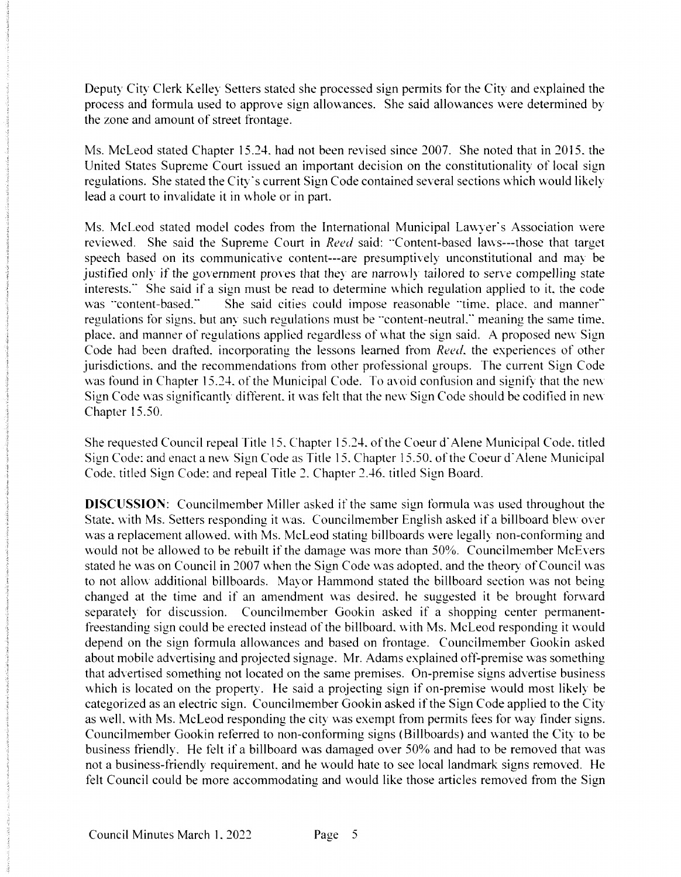Deputy City Clerk Kelley Setters stated she processed sign permits for the City and explained the process and formula used to approve sign allowances. She said allowances were determined by the zone and amount of street frontage.

Ms. McLeod stated Chapter 15.24, had not been revised since 2007. She noted that in 2015, the United States Supreme Court issued an important decision on the constitutionality of local sign regulations. She stated the City's current Sign Code contained several sections which would likely lead a court to invalidate it in whole or in part.

Ms. McLeod stated model codes from the International Municipal Lawyer's Association were reviewed. She said the Supreme Court in Reed said: "Content-based laws---those that target speech based on its communicative content---are presumptively unconstitutional and may be justified only if the government proves that they are narrowly tailored to serve compelling state interests." She said if a sign must be read to determine which regulation applied to it, the code was "content-based." She said cities could impose reasonable "time, place, and manner" regulations for signs, but any such regulations must be "content-neutral," meaning the same time, place, and manner of regulations applied regardless of what the sign said. A proposed new Sign Code had been drafted, incorporating the lessons learned from *Reed*, the experiences of other jurisdictions, and the recommendations from other professional groups. The current Sign Code was found in Chapter 15.24, of the Municipal Code. To avoid confusion and signify that the new Sign Code was significantly different, it was felt that the new Sign Code should be codified in new Chapter 15.50.

She requested Council repeal Title 15, Chapter 15.24, of the Coeur d'Alene Municipal Code, titled Sign Code: and enact a new Sign Code as Title 15, Chapter 15.50, of the Coeur d'Alene Municipal Code, titled Sign Code; and repeal Title 2. Chapter 2.46, titled Sign Board.

**DISCUSSION:** Councilmember Miller asked if the same sign formula was used throughout the State, with Ms. Setters responding it was. Councilmember English asked if a billboard blew over was a replacement allowed, with Ms. McLeod stating billboards were legally non-conforming and would not be allowed to be rebuilt if the damage was more than 50%. Councilmember McEvers stated he was on Council in 2007 when the Sign Code was adopted, and the theory of Council was to not allow additional billboards. Mayor Hammond stated the billboard section was not being changed at the time and if an amendment was desired, he suggested it be brought forward separately for discussion. Councilmember Gookin asked if a shopping center permanentfreestanding sign could be erected instead of the billboard, with Ms. McLeod responding it would depend on the sign formula allowances and based on frontage. Councilmember Gookin asked about mobile advertising and projected signage. Mr. Adams explained off-premise was something that advertised something not located on the same premises. On-premise signs advertise business which is located on the property. He said a projecting sign if on-premise would most likely be categorized as an electric sign. Councilmember Gookin asked if the Sign Code applied to the City as well, with Ms. McLeod responding the city was exempt from permits fees for way finder signs. Councilmember Gookin referred to non-conforming signs (Billboards) and wanted the City to be business friendly. He felt if a billboard was damaged over 50% and had to be removed that was not a business-friendly requirement, and he would hate to see local landmark signs removed. He felt Council could be more accommodating and would like those articles removed from the Sign